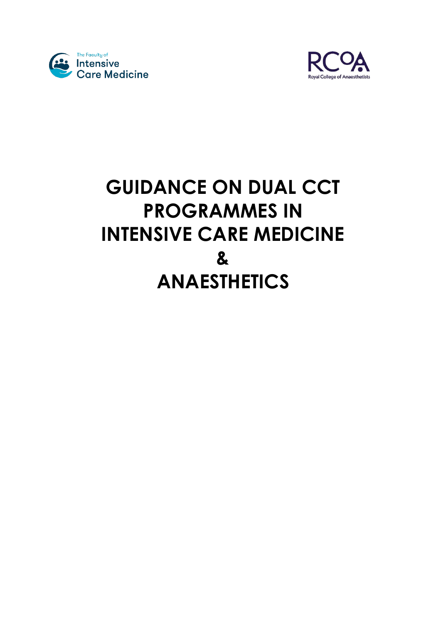



# **GUIDANCE ON DUAL CCT PROGRAMMES IN INTENSIVE CARE MEDICINE & ANAESTHETICS**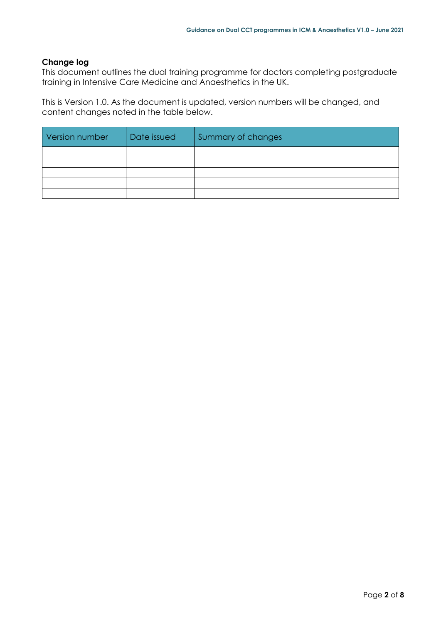# **Change log**

This document outlines the dual training programme for doctors completing postgraduate training in Intensive Care Medicine and Anaesthetics in the UK.

This is Version 1.0. As the document is updated, version numbers will be changed, and content changes noted in the table below.

| Version number | Date issued | Summary of changes |
|----------------|-------------|--------------------|
|                |             |                    |
|                |             |                    |
|                |             |                    |
|                |             |                    |
|                |             |                    |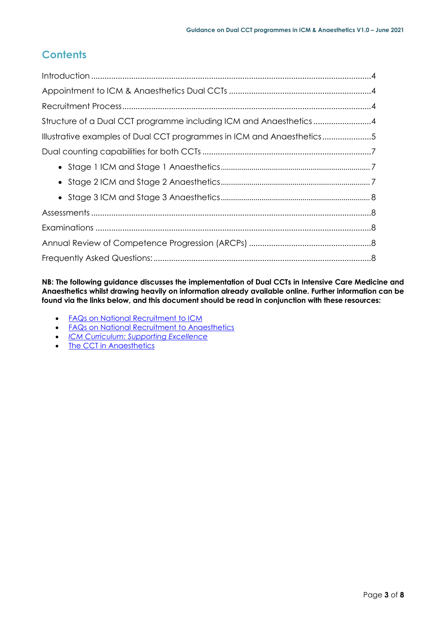# **Contents**

| Structure of a Dual CCT programme including ICM and Anaesthetics4     |  |
|-----------------------------------------------------------------------|--|
| Illustrative examples of Dual CCT programmes in ICM and Anaesthetics5 |  |
|                                                                       |  |
|                                                                       |  |
|                                                                       |  |
|                                                                       |  |
|                                                                       |  |
|                                                                       |  |
|                                                                       |  |
|                                                                       |  |

**NB: The following guidance discusses the implementation of Dual CCTs in Intensive Care Medicine and Anaesthetics whilst drawing heavily on information already available online. Further information can be found via the links below, and this document should be read in conjunction with these resources:**

- FAQs [on National Recruitment to ICM](https://www.ficm.ac.uk/careers-recruitment-workforce/recruitment)
- [FAQs on National Recruitment to Anaesthetics](https://www.rcoa.ac.uk/training-careers/considering-career-anaesthesia/recruitment-anaesthesia)
- *[ICM Curriculum: Supporting Excellence](https://www.ficm.ac.uk/sites/default/files/icm_curriculum_supporting_excellence_v1.0.pdf)*
- [The CCT in Anaesthetics](https://www.rcoa.ac.uk/training-careers/training-anaesthesia/2021-anaesthetics-curriculum)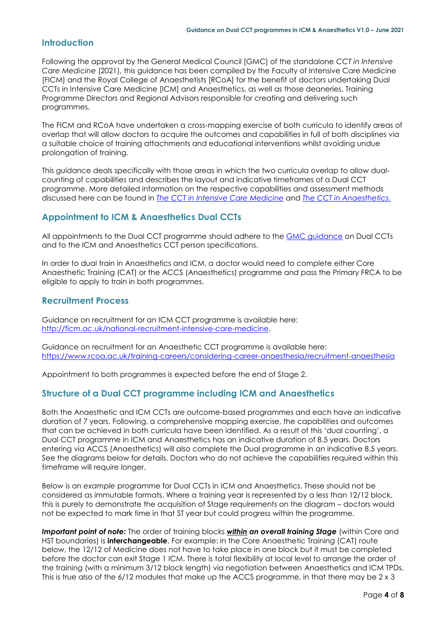# <span id="page-3-0"></span>**Introduction**

Following the approval by the General Medical Council [GMC] of the standalone *CCT in Intensive Care Medicine* (2021), this guidance has been compiled by the Faculty of Intensive Care Medicine [FICM] and the Royal College of Anaesthetists [RCoA] for the benefit of doctors undertaking Dual CCTs in Intensive Care Medicine [ICM] and Anaesthetics, as well as those deaneries, Training Programme Directors and Regional Advisors responsible for creating and delivering such programmes.

The FICM and RCoA have undertaken a cross-mapping exercise of both curricula to identify areas of overlap that will allow doctors to acquire the outcomes and capabilities in full of both disciplines via a suitable choice of training attachments and educational interventions whilst avoiding undue prolongation of training.

This guidance deals specifically with those areas in which the two curricula overlap to allow dualcounting of capabilities and describes the layout and indicative timeframes of a Dual CCT programme. More detailed information on the respective capabilities and assessment methods discussed here can be found in *The [CCT in Intensive Care Medicine](https://www.ficm.ac.uk/sites/default/files/icm_curriculum_supporting_excellence_v1.0.pdf)* and *[The CCT in Anaesthetics](https://www.rcoa.ac.uk/training-careers/training-anaesthesia/2021-anaesthetics-curriculum)*.

# <span id="page-3-1"></span>**Appointment to ICM & Anaesthetics Dual CCTs**

All appointments to the Dual CCT programme should adhere to the GMC [guidance](https://www.gmc-uk.org/education/how-we-quality-assure/royal-colleges-and-faculties/dual-certificate-of-completion-of-training-ccts) on Dual CCTs and to the ICM and Anaesthetics CCT person specifications.

In order to dual train in Anaesthetics and ICM, a doctor would need to complete either Core Anaesthetic Training (CAT) or the ACCS (Anaesthetics) programme and pass the Primary FRCA to be eligible to apply to train in both programmes.

# <span id="page-3-2"></span>**Recruitment Process**

Guidance on recruitment for an ICM CCT programme is available here: [http://ficm.ac.uk/national-recruitment-intensive-care-medicine.](http://ficm.ac.uk/national-recruitment-intensive-care-medicine)

Guidance on recruitment for an Anaesthetic CCT programme is available here: <https://www.rcoa.ac.uk/training-careers/considering-career-anaesthesia/recruitment-anaesthesia>

Appointment to both programmes is expected before the end of Stage 2.

# <span id="page-3-3"></span>**Structure of a Dual CCT programme including ICM and Anaesthetics**

Both the Anaesthetic and ICM CCTs are outcome-based programmes and each have an indicative duration of 7 years. Following, a comprehensive mapping exercise, the capabilities and outcomes that can be achieved in both curricula have been identified. As a result of this 'dual counting', a Dual CCT programme in ICM and Anaesthetics has an indicative duration of 8.5 years. Doctors entering via ACCS (Anaesthetics) will also complete the Dual programme in an indicative 8.5 years. See the diagrams below for details. Doctors who do not achieve the capabilities required within this timeframe will require longer.

Below is an *example* programme for Dual CCTs in ICM and Anaesthetics. These should not be considered as immutable formats. Where a training year is represented by a less than 12/12 block, this is purely to demonstrate the acquisition of Stage requirements on the diagram – doctors would not be expected to mark time in that ST year but could progress within the programme.

*Important point of note:* The order of training blocks *within an overall training Stage* (within Core and HST boundaries) is **interchangeable**. For example: in the Core Anaesthetic Training (CAT) route below, the 12/12 of Medicine does not have to take place in one block but it must be completed before the doctor can exit Stage 1 ICM. There is total flexibility at local level to arrange the order of the training (with a minimum 3/12 block length) via negotiation between Anaesthetics and ICM TPDs. This is true also of the  $6/12$  modules that make up the ACCS programme, in that there may be  $2 \times 3$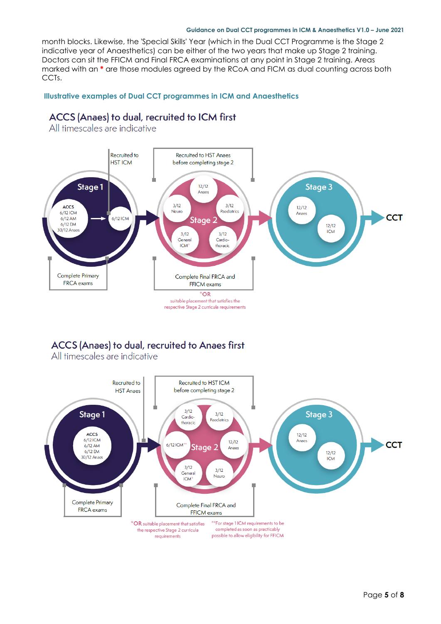### **Guidance on Dual CCT programmes in ICM & Anaesthetics V1.0 – June 2021**

month blocks. Likewise, the 'Special Skills' Year (which in the Dual CCT Programme is the Stage 2 indicative year of Anaesthetics) can be either of the two years that make up Stage 2 training. Doctors can sit the FFICM and Final FRCA examinations at any point in Stage 2 training. Areas marked with an **\*** are those modules agreed by the RCoA and FICM as dual counting across both CCTs.

# <span id="page-4-0"></span>**Illustrative examples of Dual CCT programmes in ICM and Anaesthetics**

# ACCS (Anaes) to dual, recruited to ICM first



All timescales are indicative

# ACCS (Anaes) to dual, recruited to Anaes first

All timescales are indicative

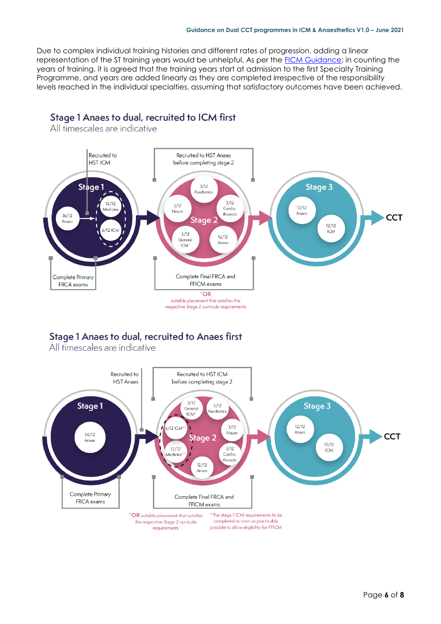Due to complex individual training histories and different rates of progression, adding a linear representation of the ST training years would be unhelpful. As per the [FICM Guidance;](https://www.ficm.ac.uk/sites/default/files/clarification_of_icm_dual_training_programmes_and_progression_-_may_2021.pdf) in counting the years of training, it is agreed that the training years start at admission to the first Specialty Training Programme, and years are added linearly as they are completed irrespective of the responsibility levels reached in the individual specialties, assuming that satisfactory outcomes have been achieved.

#### Recruited to Recruited to HST Anaes **HST ICM** before completing stage 2 Stage 1  $3/12$ Stage 3 Paediatrics  $3/12$  $12/12$  $3/12$ Cardio  $12/12$ Medicin Neum thoracic Anaes  $36/12$ **CCT** Stage Anae:  $12/12$ ICM  $3/12$  $12/12$ General Anaes **ICM** Complete Primary Complete Final FRCA and **FFICM** exams FRCA exams \*OR suitable placement that satisfies the respective Stage 2 curricula requirements

Stage 1 Anaes to dual, recruited to ICM first

All timescales are indicative

# Stage 1 Anaes to dual, recruited to Anaes first

All timescales are indicative

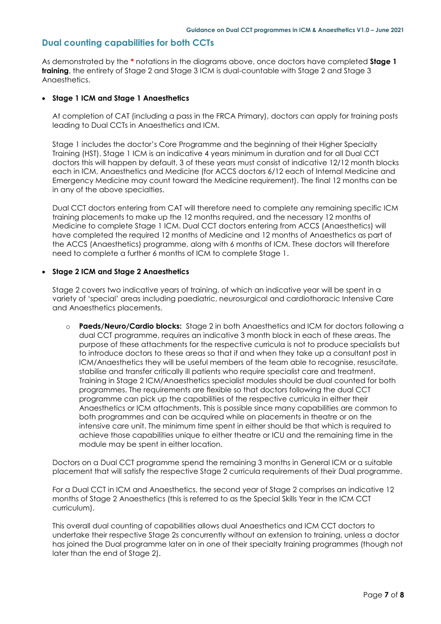# <span id="page-6-0"></span>**Dual counting capabilities for both CCTs**

As demonstrated by the **\*** notations in the diagrams above, once doctors have completed **Stage 1 training**, the entirety of Stage 2 and Stage 3 ICM is dual-countable with Stage 2 and Stage 3 Anaesthetics.

### <span id="page-6-1"></span>**Stage 1 ICM and Stage 1 Anaesthetics**

At completion of CAT (including a pass in the FRCA Primary), doctors can apply for training posts leading to Dual CCTs in Anaesthetics and ICM.

Stage 1 includes the doctor's Core Programme and the beginning of their Higher Specialty Training (HST). Stage 1 ICM is an indicative 4 years minimum in duration and for all Dual CCT doctors this will happen by default, 3 of these years must consist of indicative 12/12 month blocks each in ICM, Anaesthetics and Medicine (for ACCS doctors 6/12 each of Internal Medicine and Emergency Medicine may count toward the Medicine requirement). The final 12 months can be in any of the above specialties.

Dual CCT doctors entering from CAT will therefore need to complete any remaining specific ICM training placements to make up the 12 months required, and the necessary 12 months of Medicine to complete Stage 1 ICM. Dual CCT doctors entering from ACCS (Anaesthetics) will have completed the required 12 months of Medicine and 12 months of Anaesthetics as part of the ACCS (Anaesthetics) programme, along with 6 months of ICM. These doctors will therefore need to complete a further 6 months of ICM to complete Stage 1.

### <span id="page-6-2"></span>**Stage 2 ICM and Stage 2 Anaesthetics**

Stage 2 covers two indicative years of training, of which an indicative year will be spent in a variety of 'special' areas including paediatric, neurosurgical and cardiothoracic Intensive Care and Anaesthetics placements.

o **Paeds/Neuro/Cardio blocks:** Stage 2 in both Anaesthetics and ICM for doctors following a dual CCT programme, requires an indicative 3 month block in each of these areas. The purpose of these attachments for the respective curricula is not to produce specialists but to introduce doctors to these areas so that if and when they take up a consultant post in ICM/Anaesthetics they will be useful members of the team able to recognise, resuscitate, stabilise and transfer critically ill patients who require specialist care and treatment. Training in Stage 2 ICM/Anaesthetics specialist modules should be dual counted for both programmes. The requirements are flexible so that doctors following the dual CCT programme can pick up the capabilities of the respective curricula in either their Anaesthetics or ICM attachments. This is possible since many capabilities are common to both programmes and can be acquired while on placements in theatre or on the intensive care unit. The minimum time spent in either should be that which is required to achieve those capabilities unique to either theatre or ICU and the remaining time in the module may be spent in either location.

Doctors on a Dual CCT programme spend the remaining 3 months in General ICM or a suitable placement that will satisfy the respective Stage 2 curricula requirements of their Dual programme.

For a Dual CCT in ICM and Anaesthetics, the second year of Stage 2 comprises an indicative 12 months of Stage 2 Anaesthetics (this is referred to as the Special Skills Year in the ICM CCT curriculum).

This overall dual counting of capabilities allows dual Anaesthetics and ICM CCT doctors to undertake their respective Stage 2s concurrently without an extension to training, unless a doctor has joined the Dual programme later on in one of their specialty training programmes (though not later than the end of Stage 2).